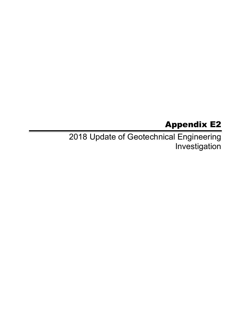# Appendix E2

2018 Update of Geotechnical Engineering Investigation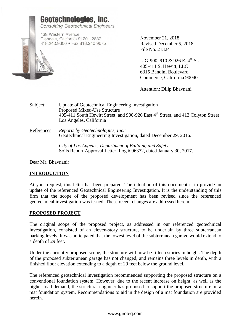

November 21, 2018 Revised December 5, 2018 File No. 21324

LIG-900, 910 & 926 E.  $4^{th}$  St. 405-411 S. Hewitt, LLC 6315 Bandini Boulevard Commerce, California 90040

Attention: Dilip Bhavnani

Subject: Update of Geotechnical Engineering Investigation Proposed Mixed-Use Structure  $405-411$  South Hewitt Street, and 900-926 East  $4<sup>th</sup>$  Street, and 412 Colyton Street Los Angeles, California

References: *Reports by Geotechnologies, Inc.:* Geotechnical Engineering Investigation, dated December 29, 2016.

> *City of Los Angeles, Department of Building and Safety*: Soils Report Approval Letter, Log # 96372, dated January 30, 2017.

Dear Mr. Bhavnani:

### **INTRODUCTION**

At your request, this letter has been prepared. The intention of this document is to provide an update of the referenced Geotechnical Engineering Investigation. It is the understanding of this firm that the scope of the proposed development has been revised since the referenced geotechnical investigation was issued. These recent changes are addressed herein.

#### **PROPOSED PROJECT**

The original scope of the proposed project, as addressed in our referenced geotechnical investigation, consisted of an eleven-story structure, to be underlain by three subterranean parking levels. It was anticipated that the lowest level of the subterranean garage would extend to a depth of 29 feet.

Under the currently proposed scope, the structure will now be fifteen stories in height. The depth of the proposed subterranean garage has not changed, and remains three levels in depth, with a finished floor elevation extending to a depth of 29 feet below the ground level.

The referenced geotechnical investigation recommended supporting the proposed structure on a conventional foundation system. However, due to the recent increase on height, as well as the higher load demand, the structural engineer has proposed to support the proposed structure on a mat foundation system. Recommendations to aid in the design of a mat foundation are provided herein.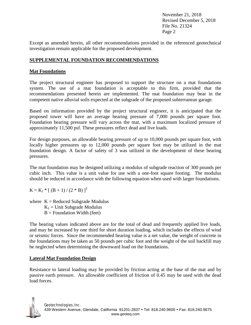November 21, 2018 Revised December 5, 2018 File No. 21324 Page 2

Except as amended herein, all other recommendations provided in the referenced geotechnical investigation remain applicable for the proposed development.

### **SUPPLEMENTAL FOUNDATION RECOMMENDATIONS**

### **Mat Foundations**

The project structural engineer has proposed to support the structure on a mat foundations system. The use of a mat foundation is acceptable to this firm, provided that the recommendations presented herein are implemented. The mat foundation may bear in the competent native alluvial soils expected at the subgrade of the proposed subterranean garage.

Based on information provided by the project structural engineer, it is anticipated that the proposed tower will have an average bearing pressure of 7,000 pounds per square foot. Foundation bearing pressure will vary across the mat, with a maximum localized pressure of approximately 11,500 psf. These pressures reflect dead and live loads.

For design purposes, an allowable bearing pressure of up to 10,000 pounds per square foot, with locally higher pressures up to 12,000 pounds per square foot may be utilized in the mat foundation design. A factor of safety of 3 was utilized in the development of these bearing pressures.

The mat foundation may be designed utilizing a modulus of subgrade reaction of 300 pounds per cubic inch. This value is a unit value for use with a one-foot square footing. The modulus should be reduced in accordance with the following equation when used with larger foundations.

 $K = K_1 * [ (B + 1) / (2 * B) ]^2$ 

where  $K =$  Reduced Subgrade Modulus  $K_1$  = Unit Subgrade Modulus  $B =$  Foundation Width (feet)

The bearing values indicated above are for the total of dead and frequently applied live loads, and may be increased by one third for short duration loading, which includes the effects of wind or seismic forces. Since the recommended bearing value is a net value, the weight of concrete in the foundations may be taken as 50 pounds per cubic foot and the weight of the soil backfill may be neglected when determining the downward load on the foundations.

### **Lateral Mat Foundation Design**

Resistance to lateral loading may be provided by friction acting at the base of the mat and by passive earth pressure. An allowable coefficient of friction of 0.45 may be used with the dead load forces.

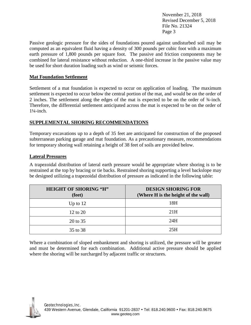November 21, 2018 Revised December 5, 2018 File No. 21324 Page 3

Passive geologic pressure for the sides of foundations poured against undisturbed soil may be computed as an equivalent fluid having a density of 300 pounds per cubic foot with a maximum earth pressure of 1,800 pounds per square foot. The passive and friction components may be combined for lateral resistance without reduction. A one-third increase in the passive value may be used for short duration loading such as wind or seismic forces.

### **Mat Foundation Settlement**

Settlement of a mat foundation is expected to occur on application of loading. The maximum settlement is expected to occur below the central portion of the mat, and would be on the order of 2 inches. The settlement along the edges of the mat is expected to be on the order of ¾-inch. Therefore, the differential settlement anticipated across the mat is expected to be on the order of 1¼-inch.

### **SUPPLEMENTAL SHORING RECOMMENDATIONS**

Temporary excavations up to a depth of 35 feet are anticipated for construction of the proposed subterranean parking garage and mat foundation. As a precautionary measure, recommendations for temporary shoring wall retaining a height of 38 feet of soils are provided below.

### **Lateral Pressures**

A trapezoidal distribution of lateral earth pressure would be appropriate where shoring is to be restrained at the top by bracing or tie backs. Restrained shoring supporting a level backslope may be designed utilizing a trapezoidal distribution of pressure as indicated in the following table:

| <b>HEIGHT OF SHORING "H"</b><br>(feet) | <b>DESIGN SHORING FOR</b><br>(Where H is the height of the wall) |
|----------------------------------------|------------------------------------------------------------------|
| Up to $12$                             | 18H                                                              |
| 12 to 20                               | 21H                                                              |
| 20 to 35                               | 24H                                                              |
| 35 to 38                               | 25H                                                              |

Where a combination of sloped embankment and shoring is utilized, the pressure will be greater and must be determined for each combination. Additional active pressure should be applied where the shoring will be surcharged by adjacent traffic or structures.

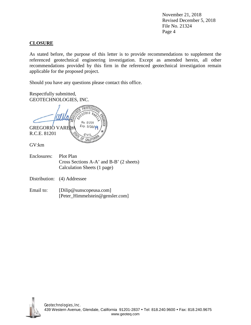November 21, 2018 Revised December 5, 2018 File No. 21324 Page 4

### **CLOSURE**

As stated before, the purpose of this letter is to provide recommendations to supplement the referenced geotechnical engineering investigation. Except as amended herein, all other recommendations provided by this firm in the referenced geotechnical investigation remain applicable for the proposed project.

Should you have any questions please contact this office.

Respectfully submitted, GEOTECHNOLOGIES, INC.

**PROFES**  $nR10$ No. 81201 Exp. 9/30/10 GREGORIO VARE R.C.E. 81201  $CIV11$ **CALIF** GV:km Enclosures: Plot Plan Cross Sections A-A' and B-B' (2 sheets) Calculation Sheets (1 page) Distribution: (4) Addressee

Email to: [Dilip@sunscopeusa.com] [Peter\_Himmelstein@gensler.com]

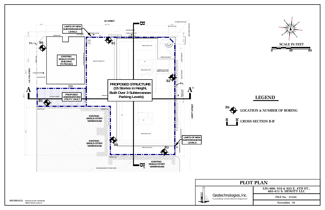## **LEGEND**

### **LOCATION & NUMBER OF BORING**

## **PLOT PLAN**

**FILE No. 21324**

#### **LIG-900, 910 & 925 E. 4TH ST., 405-411 S. HEWITT LLC**

**November '18**



## **B' CROSS SECTION B-B'**



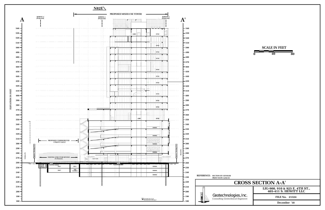

Geotechnologies, Inc.<br>
Consulting Geotechnical Engineers **Example:**FILE No. 2132

# **CROSS SECTION A-A'**

**FILE No. 21324**

**LIG-900, 910 & 925 E. 4TH ST., 405-411 S. HEWITT LLC**

**December '18**

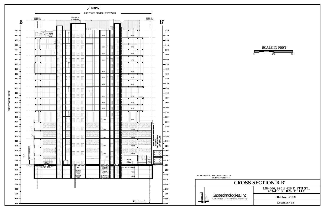|                   |                        | $\sqrt{N8W}$                                |                                  |                          |                                                                             |  |                                              |      |                                                                              |                                       |                 |
|-------------------|------------------------|---------------------------------------------|----------------------------------|--------------------------|-----------------------------------------------------------------------------|--|----------------------------------------------|------|------------------------------------------------------------------------------|---------------------------------------|-----------------|
|                   |                        |                                             |                                  | PROPOSED MIXED-USE TOWER |                                                                             |  |                                              |      |                                                                              |                                       |                 |
|                   |                        | B                                           | BORING 1<br>(Projected)          |                          | BORING 2<br>(Projected)                                                     |  |                                              |      |                                                                              | BORING 3<br>(Projected)<br>${\bf B}'$ |                 |
|                   |                        |                                             |                                  |                          |                                                                             |  |                                              |      |                                                                              |                                       |                 |
|                   | 540                    |                                             |                                  |                          |                                                                             |  |                                              |      |                                                                              |                                       | -540            |
|                   | 530                    |                                             | PRIVATE<br>TENANY-<br>AMENITY    |                          |                                                                             |  | MECH                                         |      | OFFICE                                                                       |                                       | - 530           |
|                   | 520<br>510             |                                             |                                  |                          |                                                                             |  |                                              |      |                                                                              |                                       | - 520<br>- 510  |
|                   | 500                    |                                             |                                  |                          |                                                                             |  | <b>MECH</b>                                  |      | OFFICE                                                                       |                                       | - 500           |
|                   | 490                    |                                             |                                  |                          |                                                                             |  | MECH                                         |      | OFFICE                                                                       |                                       | - 490           |
|                   | 480                    |                                             |                                  |                          |                                                                             |  | MECH                                         |      | OFFICE                                                                       |                                       | $-480$          |
|                   | 470                    |                                             |                                  |                          |                                                                             |  |                                              |      |                                                                              |                                       | - 470           |
|                   | 460                    |                                             |                                  |                          |                                                                             |  | <b>MECH</b>                                  |      | OFFICE                                                                       |                                       | - 460           |
|                   | 450<br>440             |                                             |                                  |                          |                                                                             |  | <b>MECH</b>                                  |      | OFFICE                                                                       |                                       | - 450<br>- 440  |
|                   | 430                    |                                             |                                  |                          |                                                                             |  | MECH                                         |      | OFFICE                                                                       |                                       | - 430           |
|                   | $420 -$                |                                             |                                  |                          |                                                                             |  |                                              |      |                                                                              | o                                     | - 420           |
| ELEVATION IN FEET | $410 -$                |                                             |                                  |                          |                                                                             |  | MECH                                         |      | OFFICE                                                                       |                                       | - 410           |
|                   | $400 -$                |                                             |                                  |                          |                                                                             |  | MECH                                         |      | OFFICE                                                                       |                                       | - 400           |
|                   | $390 -$<br>$380 -$     |                                             |                                  |                          |                                                                             |  |                                              |      |                                                                              |                                       | - 390<br>- 380  |
|                   | $370 -$                |                                             |                                  |                          |                                                                             |  | <b>MECH</b>                                  |      | OFFICE                                                                       |                                       | - 370           |
|                   | 360                    |                                             |                                  |                          |                                                                             |  |                                              |      |                                                                              |                                       | $-360$          |
|                   | 350 <sub>1</sub>       |                                             |                                  |                          |                                                                             |  | <b>MECH</b>                                  |      | OFFICE                                                                       | P.L.                                  | $-350$          |
|                   | 340                    | P.L.                                        |                                  |                          |                                                                             |  | <b>MECH</b>                                  |      | PARKING                                                                      |                                       | $-340$          |
|                   | $330 -$<br>$320 -$     |                                             |                                  |                          |                                                                             |  |                                              |      |                                                                              |                                       | - 330<br>$-320$ |
|                   | $310 -$                |                                             |                                  |                          |                                                                             |  | <b>MECH</b>                                  |      | <b>PARKING</b>                                                               |                                       | $-310$          |
|                   | 300                    |                                             | فتنويه                           |                          |                                                                             |  | <b>MECH</b>                                  |      | <b>PARKING</b>                                                               | EXISTING<br>SINGLE-STORY<br>WAREHOUSE | $-300$          |
|                   | 290                    |                                             |                                  |                          |                                                                             |  | <b>MECH</b>                                  |      | PARKING                                                                      | ┷<br>보<br>T                           | 290             |
|                   | 280                    | Approx, Existing G.S.<br>$4\textrm{th}$ St. |                                  |                          |                                                                             |  |                                              |      |                                                                              | ┯┷┯┷<br>┯┵┯┷┯<br>┯┷┯┷┯                | 280             |
|                   | 270<br>260             |                                             | FOOD &<br>BEVERAGE               |                          |                                                                             |  |                                              | FILL | LOADING<br>DOCK<br>STORAGE<br>п                                              | LOADING<br>DOCK<br>▬                  | 270<br>260      |
|                   | 250                    | <sup>TU</sup> N <u>NI</u> NI                | <b><i>CONTRESS ENGINEERS</i></b> | IJД.                     | k<br>PIT                                                                    |  | <b>PARKING</b><br>ELEVAOTRS                  |      | NATIVE SOIL SARKING                                                          | <u>MIT</u>                            | $-250$          |
|                   | 240                    |                                             |                                  |                          | <b>FIRE WATER</b><br>STORAGE<br><b>TANK</b><br><b>FIRE WATER</b><br>STORAGE |  | PARKING<br>ELEVATOR<br>PARKING.<br>ELEVATORS |      | PARKING<br>PARKING                                                           |                                       | $-240$          |
|                   | 230                    |                                             |                                  |                          | <b>TANK</b>                                                                 |  |                                              |      |                                                                              |                                       | $-230$          |
|                   | 220                    |                                             |                                  |                          | <b>CONSTRUCTION</b>                                                         |  |                                              |      |                                                                              |                                       | $-220$          |
|                   | $210 -$<br>$200 \cdot$ |                                             |                                  |                          |                                                                             |  |                                              |      |                                                                              |                                       | $-210$          |
|                   | $190 \cdot$            |                                             |                                  |                          |                                                                             |  |                                              |      |                                                                              |                                       | - 200<br>- 190  |
|                   | 180                    |                                             |                                  |                          |                                                                             |  |                                              |      | $\sum \substack{\text{Groundwater Level} \\ \text{Encountered in Boring 3}}$ | M                                     | 180             |

# **CROSS SECTION B-B'**

**FILE No. 21324**

**LIG-900, 910 & 925 E. 4TH ST., 405-411 S. HEWITT LLC**

**December '18**